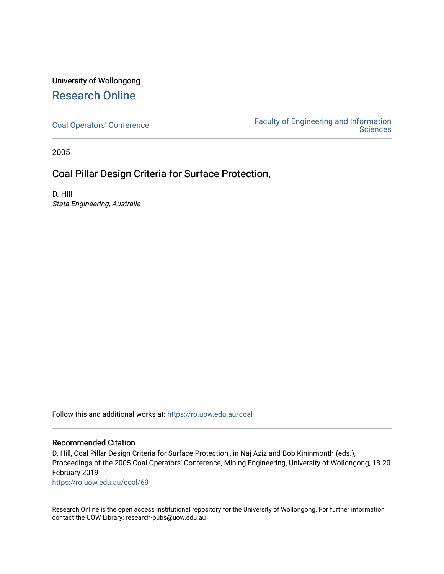### University of Wollongong [Research Online](https://ro.uow.edu.au/)

[Coal Operators' Conference](https://ro.uow.edu.au/coal) [Faculty of Engineering and Information](https://ro.uow.edu.au/eis)  **Sciences** 

2005

### Coal Pillar Design Criteria for Surface Protection,

D. Hill Stata Engineering, Australia

Follow this and additional works at: [https://ro.uow.edu.au/coal](https://ro.uow.edu.au/coal?utm_source=ro.uow.edu.au%2Fcoal%2F69&utm_medium=PDF&utm_campaign=PDFCoverPages) 

### Recommended Citation

D. Hill, Coal Pillar Design Criteria for Surface Protection,, in Naj Aziz and Bob Kininmonth (eds.), Proceedings of the 2005 Coal Operators' Conference, Mining Engineering, University of Wollongong, 18-20 February 2019

[https://ro.uow.edu.au/coal/69](https://ro.uow.edu.au/coal/69?utm_source=ro.uow.edu.au%2Fcoal%2F69&utm_medium=PDF&utm_campaign=PDFCoverPages) 

Research Online is the open access institutional repository for the University of Wollongong. For further information contact the UOW Library: research-pubs@uow.edu.au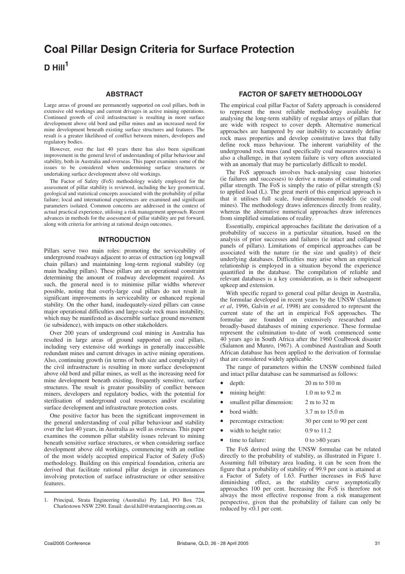# **Coal Pillar Design Criteria for Surface Protection**

**D Hill<sup>1</sup>**

#### **ABSTRACT**

Large areas of ground are permanently supported on coal pillars, both in extensive old workings and current drivages in active mining operations. Continued growth of civil infrastructure is resulting in more surface development above old bord and pillar mines and an increased need for mine development beneath existing surface structures and features. The result is a greater likelihood of conflict between miners, developers and regulatory bodies.

However, over the last 40 years there has also been significant improvement in the general level of understanding of pillar behaviour and stability, both in Australia and overseas. This paper examines some of the issues to be considered when undermining surface structures or undertaking surface development above old workings.

The Factor of Safety (FoS) methodology widely employed for the assessment of pillar stability is reviewed, including the key geometrical, geological and statistical concepts associated with the probability of pillar failure; local and international experiences are examined and significant parameters isolated. Common concerns are addressed in the context of actual practical experience, utilising a risk management approach. Recent advances in methods for the assessment of pillar stability are put forward, along with criteria for arriving at rational design outcomes.

### **INTRODUCTION**

Pillars serve two main roles: promoting the serviceability of underground roadways adjacent to areas of extraction (eg longwall chain pillars) and maintaining long-term regional stability (eg main heading pillars). These pillars are an operational constraint determining the amount of roadway development required. As such, the general need is to minimise pillar widths wherever possible, noting that overly-large coal pillars do not result in significant improvements in serviceability or enhanced regional stability. On the other hand, inadequately-sized pillars can cause major operational difficulties and large-scale rock mass instability, which may be manifested as discernible surface ground movement (ie subsidence), with impacts on other stakeholders.

Over 200 years of underground coal mining in Australia has resulted in large areas of ground supported on coal pillars, including very extensive old workings in generally inaccessible redundant mines and current drivages in active mining operations. Also, continuing growth (in terms of both size and complexity) of the civil infrastructure is resulting in more surface development above old bord and pillar mines, as well as the increasing need for mine development beneath existing, frequently sensitive, surface structures. The result is greater possibility of conflict between miners, developers and regulatory bodies, with the potential for sterilisation of underground coal resources and/or escalating surface development and infrastructure protection costs.

One positive factor has been the significant improvement in the general understanding of coal pillar behaviour and stability over the last 40 years, in Australia as well as overseas. This paper examines the common pillar stability issues relevant to mining beneath sensitive surface structures, or when considering surface development above old workings, commencing with an outline of the most widely accepted empirical Factor of Safety (FoS) methodology. Building on this empirical foundation, criteria are derived that facilitate rational pillar design in circumstances involving protection of surface infrastructure or other sensitive features.

### **FACTOR OF SAFETY METHODOLOGY**

The empirical coal pillar Factor of Safety approach is considered to represent the most reliable methodology available for analysing the long-term stability of regular arrays of pillars that are wide with respect to cover depth. Alternative numerical approaches are hampered by our inability to accurately define rock mass properties and develop constitutive laws that fully define rock mass behaviour. The inherent variability of the underground rock mass (and specifically coal measures strata) is also a challenge, in that system failure is very often associated with an anomaly that may be particularly difficult to model.

The FoS approach involves back-analysing case histories (ie failures and successes) to derive a means of estimating coal pillar strength. The FoS is simply the ratio of pillar strength (S) to applied load (L). The great merit of this empirical approach is that it utilises full scale, four-dimensional models (ie coal mines). The methodology draws inferences directly from reality, whereas the alternative numerical approaches draw inferences from simplified simulations of reality.

Essentially, empirical approaches facilitate the derivation of a probability of success in a particular situation, based on the analysis of prior successes and failures (ie intact and collapsed panels of pillars). Limitations of empirical approaches can be associated with the nature (ie the size and quality) of their underlying databases. Difficulties may arise when an empirical relationship is employed in a situation beyond the experience quantified in the database. The compilation of reliable and relevant databases is a key consideration, as is their subsequent upkeep and extension.

With specific regard to general coal pillar design in Australia, the formulae developed in recent years by the UNSW (Salamon *et al*, 1996, Galvin *et al*, 1998) are considered to represent the current state of the art in empirical FoS approaches. The formulae are founded on extensively researched and broadly-based databases of mining experience. These formulae represent the culmination to-date of work commenced some 40 years ago in South Africa after the 1960 Coalbrook disaster (Salamon and Munro, 1967). A combined Australian and South African database has been applied to the derivation of formulae that are considered widely applicable.

The range of parameters within the UNSW combined failed and intact pillar database can be summarised as follows:

|           | $\bullet$ depth: | $20 \text{ m}$ to $510 \text{ m}$  |
|-----------|------------------|------------------------------------|
| $\bullet$ | mining height:   | $1.0 \text{ m}$ to $9.2 \text{ m}$ |

| • smallest pillar dimension: | 2 m to 32 m                         |
|------------------------------|-------------------------------------|
| • bord width:                | $3.7 \text{ m}$ to $15.0 \text{ m}$ |
| • percentage extraction:     | 30 per cent to 90 per cent          |
| • width to height ratio:     | $0.9$ to $11.2$                     |

time to failure: 0 to >80 years

The FoS derived using the UNSW formulae can be related directly to the probability of stability, as illustrated in Figure 1. Assuming full tributary area loading, it can be seen from the figure that a probability of stability of 99.9 per cent is attained at a Factor of Safety of 1.63. Further increases in FoS have diminishing effect, as the stability curve asymptotically approaches 100 per cent. Increasing the FoS is therefore not always the most effective response from a risk management perspective, given that the probability of failure can only be reduced by <0.1 per cent.

<sup>1.</sup> Principal, Strata Engineering (Australia) Pty Ltd, PO Box 724, Charlestown NSW 2290. Email: david.hill@strataengineering.com.au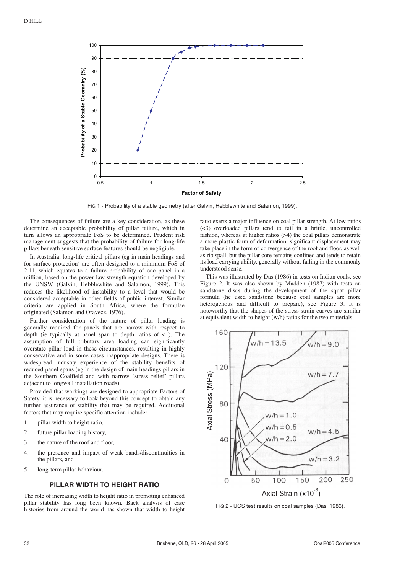

FIG 1 - Probability of a stable geometry (after Galvin, Hebblewhite and Salamon, 1999).

The consequences of failure are a key consideration, as these determine an acceptable probability of pillar failure, which in turn allows an appropriate FoS to be determined. Prudent risk management suggests that the probability of failure for long-life pillars beneath sensitive surface features should be negligible.

In Australia, long-life critical pillars (eg in main headings and for surface protection) are often designed to a minimum FoS of 2.11, which equates to a failure probability of one panel in a million, based on the power law strength equation developed by the UNSW (Galvin, Hebblewhite and Salamon, 1999). This reduces the likelihood of instability to a level that would be considered acceptable in other fields of public interest. Similar criteria are applied in South Africa, where the formulae originated (Salamon and Oravecz, 1976).

Further consideration of the nature of pillar loading is generally required for panels that are narrow with respect to depth (ie typically at panel span to depth ratios of  $\leq 1$ ). The assumption of full tributary area loading can significantly overstate pillar load in these circumstances, resulting in highly conservative and in some cases inappropriate designs. There is widespread industry experience of the stability benefits of reduced panel spans (eg in the design of main headings pillars in the Southern Coalfield and with narrow 'stress relief' pillars adjacent to longwall installation roads).

Provided that workings are designed to appropriate Factors of Safety, it is necessary to look beyond this concept to obtain any further assurance of stability that may be required. Additional factors that may require specific attention include:

- 1. pillar width to height ratio,
- 2. future pillar loading history,
- 3. the nature of the roof and floor,
- 4. the presence and impact of weak bands/discontinuities in the pillars, and
- 5. long-term pillar behaviour.

### **PILLAR WIDTH TO HEIGHT RATIO**

The role of increasing width to height ratio in promoting enhanced pillar stability has long been known. Back analysis of case histories from around the world has shown that width to height ratio exerts a major influence on coal pillar strength. At low ratios (<3) overloaded pillars tend to fail in a brittle, uncontrolled fashion, whereas at higher ratios (>4) the coal pillars demonstrate a more plastic form of deformation: significant displacement may take place in the form of convergence of the roof and floor, as well as rib spall, but the pillar core remains confined and tends to retain its load carrying ability, generally without failing in the commonly understood sense.

This was illustrated by Das (1986) in tests on Indian coals, see Figure 2. It was also shown by Madden (1987) with tests on sandstone discs during the development of the squat pillar formula (he used sandstone because coal samples are more heterogenous and difficult to prepare), see Figure 3. It is noteworthy that the shapes of the stress-strain curves are similar at equivalent width to height (w/h) ratios for the two materials.



FIG 2 - UCS test results on coal samples (Das, 1986).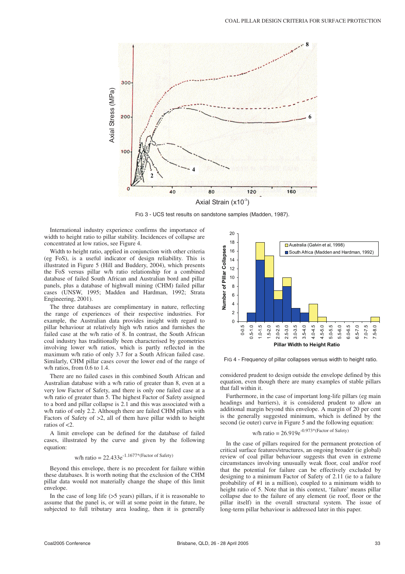

FIG 3 - UCS test results on sandstone samples (Madden, 1987).

International industry experience confirms the importance of width to height ratio to pillar stability. Incidences of collapse are concentrated at low ratios, see Figure 4.

Width to height ratio, applied in conjunction with other criteria (eg FoS), is a useful indicator of design reliability. This is illustrated in Figure 5 (Hill and Buddery, 2004), which presents the FoS versus pillar w/h ratio relationship for a combined database of failed South African and Australian bord and pillar panels, plus a database of highwall mining (CHM) failed pillar cases (UNSW, 1995; Madden and Hardman, 1992; Strata Engineering, 2001).

The three databases are complimentary in nature, reflecting the range of experiences of their respective industries. For example, the Australian data provides insight with regard to pillar behaviour at relatively high w/h ratios and furnishes the failed case at the w/h ratio of 8. In contrast, the South African coal industry has traditionally been characterised by geometries involving lower w/h ratios, which is partly reflected in the maximum w/h ratio of only 3.7 for a South African failed case. Similarly, CHM pillar cases cover the lower end of the range of w/h ratios, from 0.6 to 1.4.

There are no failed cases in this combined South African and Australian database with a w/h ratio of greater than 8, even at a very low Factor of Safety, and there is only one failed case at a w/h ratio of greater than 5. The highest Factor of Safety assigned to a bord and pillar collapse is 2.1 and this was associated with a w/h ratio of only 2.2. Although there are failed CHM pillars with Factors of Safety of >2, all of them have pillar width to height ratios of <2.

A limit envelope can be defined for the database of failed cases, illustrated by the curve and given by the following equation:

## w/h ratio =  $22.433e^{-1.1677*}$  (Factor of Safety)

Beyond this envelope, there is no precedent for failure within these databases. It is worth noting that the exclusion of the CHM pillar data would not materially change the shape of this limit envelope.

In the case of long life  $(55 \text{ years})$  pillars, if it is reasonable to assume that the panel is, or will at some point in the future, be subjected to full tributary area loading, then it is generally



FIG 4 - Frequency of pillar collapses versus width to height ratio.

considered prudent to design outside the envelope defined by this equation, even though there are many examples of stable pillars that fall within it.

Furthermore, in the case of important long-life pillars (eg main headings and barriers), it is considered prudent to allow an additional margin beyond this envelope. A margin of 20 per cent is the generally suggested minimum, which is defined by the second (ie outer) curve in Figure 5 and the following equation:

# w/h ratio =  $26.919e^{-0.973*}$ (Factor of Safety)

In the case of pillars required for the permanent protection of critical surface features/structures, an ongoing broader (ie global) review of coal pillar behaviour suggests that even in extreme circumstances involving unusually weak floor, coal and/or roof that the potential for failure can be effectively excluded by designing to a minimum Factor of Safety of 2.11 (ie to a failure probability of #1 in a million), coupled to a minimum width to height ratio of 5. Note that in this context, 'failure' means pillar collapse due to the failure of any element (ie roof, floor or the pillar itself) in the overall structural system. The issue of long-term pillar behaviour is addressed later in this paper.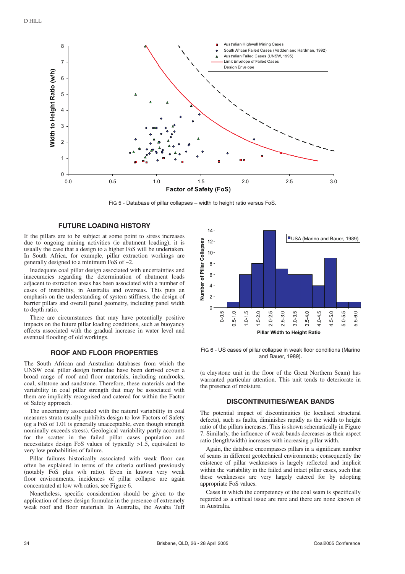

FIG 5 - Database of pillar collapses – width to height ratio versus FoS.

### **FUTURE LOADING HISTORY**

If the pillars are to be subject at some point to stress increases due to ongoing mining activities (ie abutment loading), it is usually the case that a design to a higher FoS will be undertaken. In South Africa, for example, pillar extraction workings are generally designed to a minimum FoS of ~2.

Inadequate coal pillar design associated with uncertainties and inaccuracies regarding the determination of abutment loads adjacent to extraction areas has been associated with a number of cases of instability, in Australia and overseas. This puts an emphasis on the understanding of system stiffness, the design of barrier pillars and overall panel geometry, including panel width to depth ratio.

There are circumstances that may have potentially positive impacts on the future pillar loading conditions, such as buoyancy effects associated with the gradual increase in water level and eventual flooding of old workings.

### **ROOF AND FLOOR PROPERTIES**

The South African and Australian databases from which the UNSW coal pillar design formulae have been derived cover a broad range of roof and floor materials, including mudrocks, coal, siltstone and sandstone. Therefore, these materials and the variability in coal pillar strength that may be associated with them are implicitly recognised and catered for within the Factor of Safety approach.

The uncertainty associated with the natural variability in coal measures strata usually prohibits design to low Factors of Safety (eg a FoS of 1.01 is generally unacceptable, even though strength nominally exceeds stress). Geological variability partly accounts for the scatter in the failed pillar cases population and necessitates design FoS values of typically >1.5, equivalent to very low probabilities of failure.

Pillar failures historically associated with weak floor can often be explained in terms of the criteria outlined previously (notably FoS plus w/h ratio). Even in known very weak floor environments, incidences of pillar collapse are again concentrated at low w/h ratios, see Figure 6.

Nonetheless, specific consideration should be given to the application of these design formulae in the presence of extremely weak roof and floor materials. In Australia, the Awaba Tuff



FIG 6 - US cases of pillar collapse in weak floor conditions (Marino and Bauer, 1989).

(a claystone unit in the floor of the Great Northern Seam) has warranted particular attention. This unit tends to deteriorate in the presence of moisture.

### **DISCONTINUITIES/WEAK BANDS**

The potential impact of discontinuities (ie localised structural defects), such as faults, diminishes rapidly as the width to height ratio of the pillars increases. This is shown schematically in Figure 7. Similarly, the influence of weak bands decreases as their aspect ratio (length/width) increases with increasing pillar width.

Again, the database encompasses pillars in a significant number of seams in different geotechnical environments; consequently the existence of pillar weaknesses is largely reflected and implicit within the variability in the failed and intact pillar cases, such that these weaknesses are very largely catered for by adopting appropriate FoS values.

Cases in which the competency of the coal seam is specifically regarded as a critical issue are rare and there are none known of in Australia.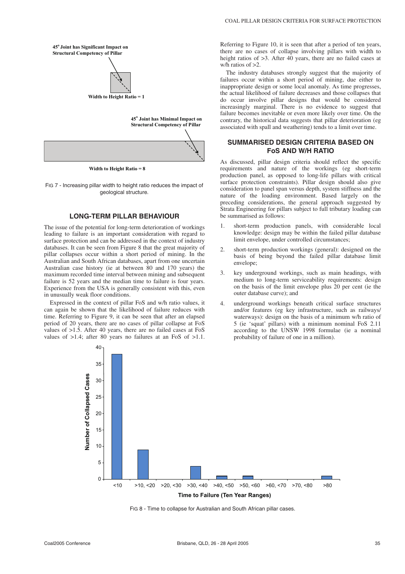

**Width to Height Ratio = 8**

FIG 7 - Increasing pillar width to height ratio reduces the impact of geological structure.

### **LONG-TERM PILLAR BEHAVIOUR**

The issue of the potential for long-term deterioration of workings leading to failure is an important consideration with regard to surface protection and can be addressed in the context of industry databases. It can be seen from Figure 8 that the great majority of pillar collapses occur within a short period of mining. In the Australian and South African databases, apart from one uncertain Australian case history (ie at between 80 and 170 years) the maximum recorded time interval between mining and subsequent failure is 52 years and the median time to failure is four years. Experience from the USA is generally consistent with this, even in unusually weak floor conditions.

Expressed in the context of pillar FoS and w/h ratio values, it can again be shown that the likelihood of failure reduces with time. Referring to Figure 9, it can be seen that after an elapsed period of 20 years, there are no cases of pillar collapse at FoS values of >1.5. After 40 years, there are no failed cases at FoS values of  $>1.4$ ; after 80 years no failures at an FoS of  $>1.1$ .

Referring to Figure 10, it is seen that after a period of ten years, there are no cases of collapse involving pillars with width to height ratios of  $>3$ . After 40 years, there are no failed cases at w/h ratios of >2.

The industry databases strongly suggest that the majority of failures occur within a short period of mining, due either to inappropriate design or some local anomaly. As time progresses, the actual likelihood of failure decreases and those collapses that do occur involve pillar designs that would be considered increasingly marginal. There is no evidence to suggest that failure becomes inevitable or even more likely over time. On the contrary, the historical data suggests that pillar deterioration (eg associated with spall and weathering) tends to a limit over time.

### **SUMMARISED DESIGN CRITERIA BASED ON FoS AND W/H RATIO**

As discussed, pillar design criteria should reflect the specific requirements and nature of the workings (eg short-term production panel, as opposed to long-life pillars with critical surface protection constraints). Pillar design should also give consideration to panel span versus depth, system stiffness and the nature of the loading environment. Based largely on the preceding considerations, the general approach suggested by Strata Engineering for pillars subject to full tributary loading can be summarised as follows:

- 1. short-term production panels, with considerable local knowledge: design may be within the failed pillar database limit envelope, under controlled circumstances;
- 2. short-term production workings (general): designed on the basis of being beyond the failed pillar database limit envelope;
- 3. key underground workings, such as main headings, with medium to long-term serviceability requirements: design on the basis of the limit envelope plus 20 per cent (ie the outer database curve); and
- 4. underground workings beneath critical surface structures and/or features (eg key infrastructure, such as railways/ waterways): design on the basis of a minimum w/h ratio of 5 (ie 'squat' pillars) with a minimum nominal FoS 2.11 according to the UNSW 1998 formulae (ie a nominal probability of failure of one in a million).



FIG 8 - Time to collapse for Australian and South African pillar cases.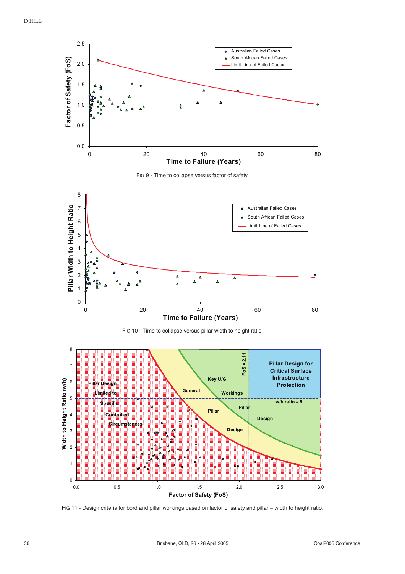









FIG 11 - Design criteria for bord and pillar workings based on factor of safety and pillar – width to height ratio.